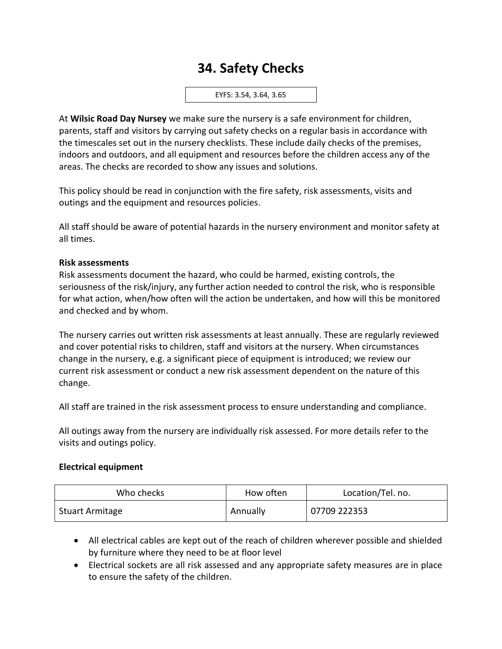# **34. Safety Checks**

EYFS: 3.54, 3.64, 3.65

At **Wilsic Road Day Nursey** we make sure the nursery is a safe environment for children, parents, staff and visitors by carrying out safety checks on a regular basis in accordance with the timescales set out in the nursery checklists. These include daily checks of the premises, indoors and outdoors, and all equipment and resources before the children access any of the areas. The checks are recorded to show any issues and solutions.

This policy should be read in conjunction with the fire safety, risk assessments, visits and outings and the equipment and resources policies.

All staff should be aware of potential hazards in the nursery environment and monitor safety at all times.

#### **Risk assessments**

Risk assessments document the hazard, who could be harmed, existing controls, the seriousness of the risk/injury, any further action needed to control the risk, who is responsible for what action, when/how often will the action be undertaken, and how will this be monitored and checked and by whom.

The nursery carries out written risk assessments at least annually. These are regularly reviewed and cover potential risks to children, staff and visitors at the nursery. When circumstances change in the nursery, e.g. a significant piece of equipment is introduced; we review our current risk assessment or conduct a new risk assessment dependent on the nature of this change.

All staff are trained in the risk assessment process to ensure understanding and compliance.

All outings away from the nursery are individually risk assessed. For more details refer to the visits and outings policy.

#### **Electrical equipment**

| Who checks             | How often | Location/Tel. no. |
|------------------------|-----------|-------------------|
| <b>Stuart Armitage</b> | Annually  | 07709 222353      |

- All electrical cables are kept out of the reach of children wherever possible and shielded by furniture where they need to be at floor level
- Electrical sockets are all risk assessed and any appropriate safety measures are in place to ensure the safety of the children.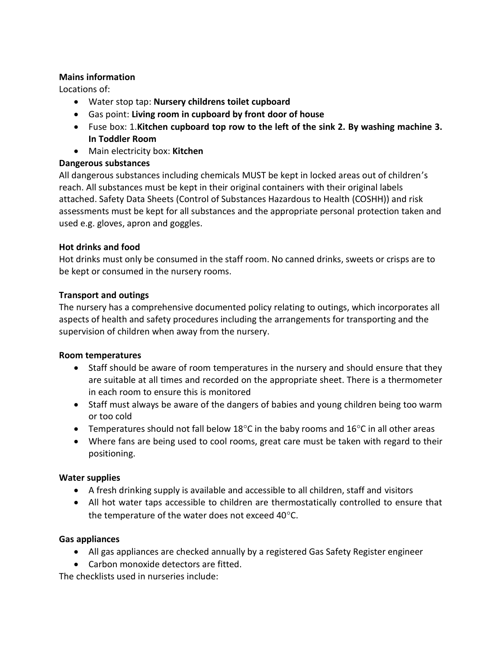#### **Mains information**

Locations of:

- Water stop tap: **Nursery childrens toilet cupboard**
- Gas point: **Living room in cupboard by front door of house**
- Fuse box: 1.**Kitchen cupboard top row to the left of the sink 2. By washing machine 3. In Toddler Room**
- Main electricity box: **Kitchen**

### **Dangerous substances**

All dangerous substances including chemicals MUST be kept in locked areas out of children's reach. All substances must be kept in their original containers with their original labels attached. Safety Data Sheets (Control of Substances Hazardous to Health (COSHH)) and risk assessments must be kept for all substances and the appropriate personal protection taken and used e.g. gloves, apron and goggles.

### **Hot drinks and food**

Hot drinks must only be consumed in the staff room. No canned drinks, sweets or crisps are to be kept or consumed in the nursery rooms.

## **Transport and outings**

The nursery has a comprehensive documented policy relating to outings, which incorporates all aspects of health and safety procedures including the arrangements for transporting and the supervision of children when away from the nursery.

### **Room temperatures**

- Staff should be aware of room temperatures in the nursery and should ensure that they are suitable at all times and recorded on the appropriate sheet. There is a thermometer in each room to ensure this is monitored
- Staff must always be aware of the dangers of babies and young children being too warm or too cold
- Temperatures should not fall below 18 $\degree$ C in the baby rooms and 16 $\degree$ C in all other areas
- Where fans are being used to cool rooms, great care must be taken with regard to their positioning.

### **Water supplies**

- A fresh drinking supply is available and accessible to all children, staff and visitors
- All hot water taps accessible to children are thermostatically controlled to ensure that the temperature of the water does not exceed  $40^{\circ}$ C.

### **Gas appliances**

- All gas appliances are checked annually by a registered Gas Safety Register engineer
- Carbon monoxide detectors are fitted.

The checklists used in nurseries include: